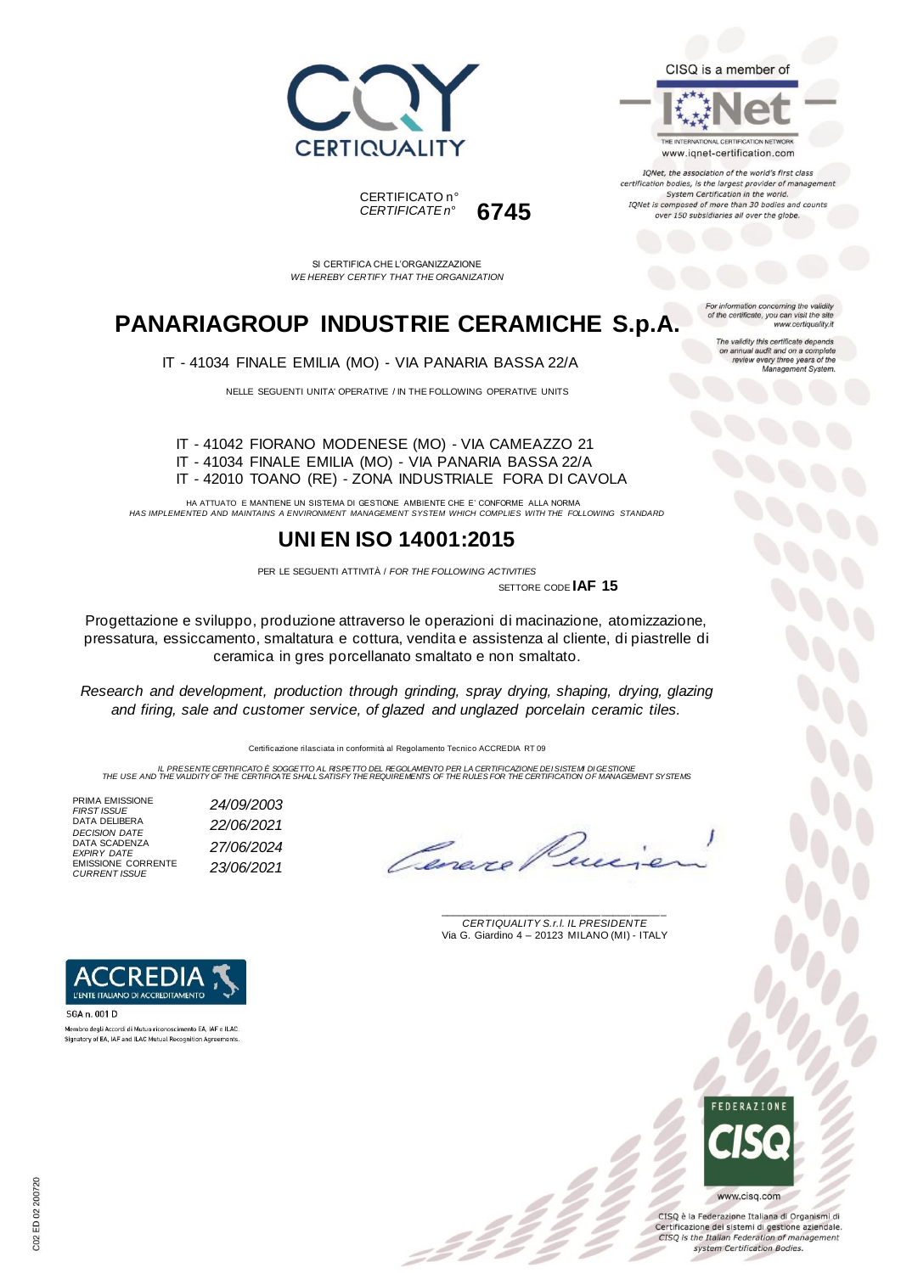





IQNet, the association of the world's first class certification bodies, is the largest provider of managen System Certification in the world. IQNet is composed of more than 30 bodies and counts over 150 subsidiaries all over the globe.

> tion concerning the validity of the certificate, you can visit the sit

The validity this certificate depends on annual audit and on a complete<br>review every three years of the<br>Management System.

www.certiquality.it

CERTIFICATO n° *CERTIFICATE n°* **6745**

SI CERTIFICA CHE L'ORGANIZZAZIONE *WE HEREBY CERTIFY THAT THE ORGANIZATION*

## **PANARIAGROUP INDUSTRIE CERAMICHE S.p.A.**

IT - 41034 FINALE EMILIA (MO) - VIA PANARIA BASSA 22/A

NELLE SEGUENTI UNITA' OPERATIVE / IN THE FOLLOWING OPERATIVE UNITS

IT - 41042 FIORANO MODENESE (MO) - VIA CAMEAZZO 21 IT - 41034 FINALE EMILIA (MO) - VIA PANARIA BASSA 22/A IT - 42010 TOANO (RE) - ZONA INDUSTRIALE FORA DI CAVOLA

HA ATTUATO E MANTIENE UN SISTEMA DI GESTIONE AMBIENTE CHE E' CONFORME ALLA NORMA *HAS IMPLEMENTED AND MAINTAINS A ENVIRONMENT MANAGEMENT SYSTEM WHICH COMPLIES WITH THE FOLLOWING STANDARD*

### **UNI EN ISO 14001:2015**

PER LE SEGUENTI ATTIVITÀ / *FOR THE FOLLOWING ACTIVITIES*

SETTORE CODE **IAF 15**

Progettazione e sviluppo, produzione attraverso le operazioni di macinazione, atomizzazione, pressatura, essiccamento, smaltatura e cottura, vendita e assistenza al cliente, di piastrelle di ceramica in gres porcellanato smaltato e non smaltato.

*Research and development, production through grinding, spray drying, shaping, drying, glazing and firing, sale and customer service, of glazed and unglazed porcelain ceramic tiles.*

Certificazione rilasciata in conformità al Regolamento Tecnico ACCREDIA RT 09

IL PRESENTE CERTIFICATO E SOGGETTO AL RISPETTO DEL REGOLAMENTO PER LA CERTIFICAZIONE DEI SISTEM DI GESTIONE<br>THE USE AND THE VALIDITY OF THE CERTIFICATE SHALL SATISFY THE REQUIREMENTS OF THE RULES FOR THE CERTIFICATION OF M

PRIMA EMISSIONE<br>FIRST ISSUE *FIRST ISSUE 24/09/2003* DATA DELIBERA *DECISION DATE 22/06/2021* DATA SCADENZA *EXPIRY DATE 27/06/2024* EMISSIONE CORRENTE *CURRENT ISSUE 23/06/2021*

Overe

\_\_\_\_\_\_\_\_\_\_\_\_\_\_\_\_\_\_\_\_\_\_\_\_\_\_\_\_\_\_\_\_\_\_\_\_\_\_\_ *CERTIQUALITY S.r.l. IL PRESIDENTE* Via G. Giardino 4 – 20123 MILANO (MI) - ITALY



CISO è la Federazione Italiana di Organismi di Certificazione dei sistemi di gestione aziendale. CISQ is the Italian Federation of management system Certification Bodies.



SGA n. 001 D Membro degli Accordi di Mutuo riconoscimento EA, IAF e ILAC. Signatory of EA, IAF and ILAC Mutual Recognition Agree